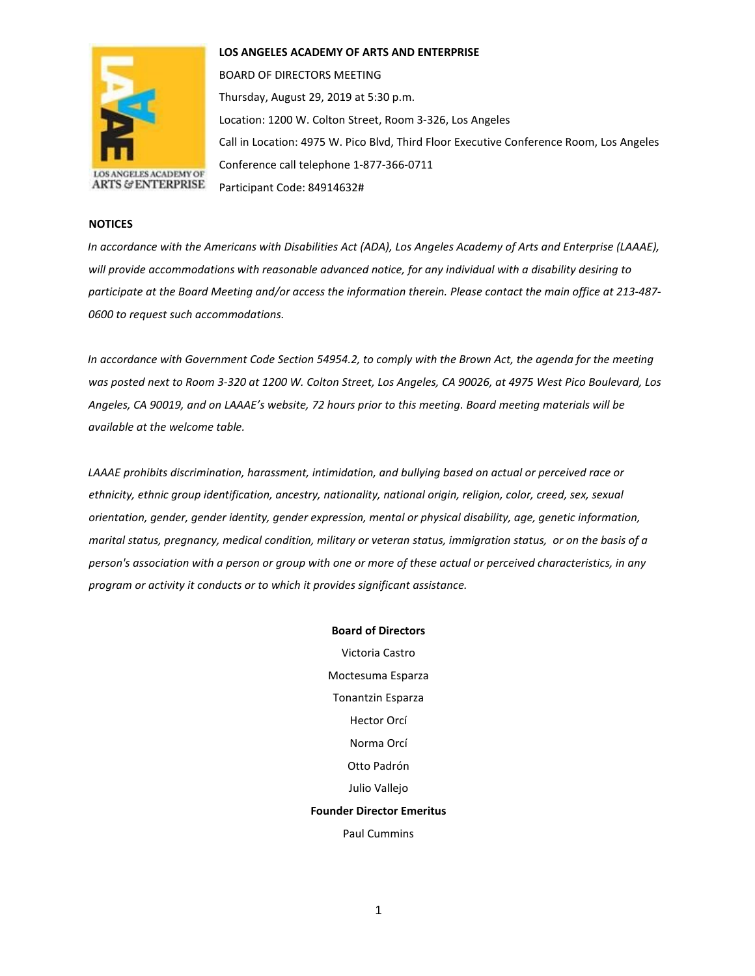

**LOS ANGELES ACADEMY OF ARTS AND ENTERPRISE** 

BOARD OF DIRECTORS MEETING Thursday, August 29, 2019 at 5:30 p.m. Location: 1200 W. Colton Street, Room 3-326, Los Angeles Call in Location: 4975 W. Pico Blvd, Third Floor Executive Conference Room, Los Angeles Conference call telephone 1-877-366-0711 Participant Code: 84914632#

## **NOTICES**

*In accordance with the Americans with Disabilities Act (ADA), Los Angeles Academy of Arts and Enterprise (LAAAE), will provide accommodations with reasonable advanced notice, for any individual with a disability desiring to participate at the Board Meeting and/or access the information therein. Please contact the main office at 213-487- 0600 to request such accommodations.* 

*In accordance with Government Code Section 54954.2, to comply with the Brown Act, the agenda for the meeting was posted next to Room 3-320 at 1200 W. Colton Street, Los Angeles, CA 90026, at 4975 West Pico Boulevard, Los Angeles, CA 90019, and on LAAAE's website, 72 hours prior to this meeting. Board meeting materials will be available at the welcome table.* 

*LAAAE prohibits discrimination, harassment, intimidation, and bullying based on actual or perceived race or ethnicity, ethnic group identification, ancestry, nationality, national origin, religion, color, creed, sex, sexual orientation, gender, gender identity, gender expression, mental or physical disability, age, genetic information, marital status, pregnancy, medical condition, military or veteran status, immigration status, or on the basis of a person's association with a person or group with one or more of these actual or perceived characteristics, in any program or activity it conducts or to which it provides significant assistance.* 

> **Board of Directors** Victoria Castro Moctesuma Esparza Tonantzin Esparza Hector Orcí Norma Orcí Otto Padrón Julio Vallejo **Founder Director Emeritus** Paul Cummins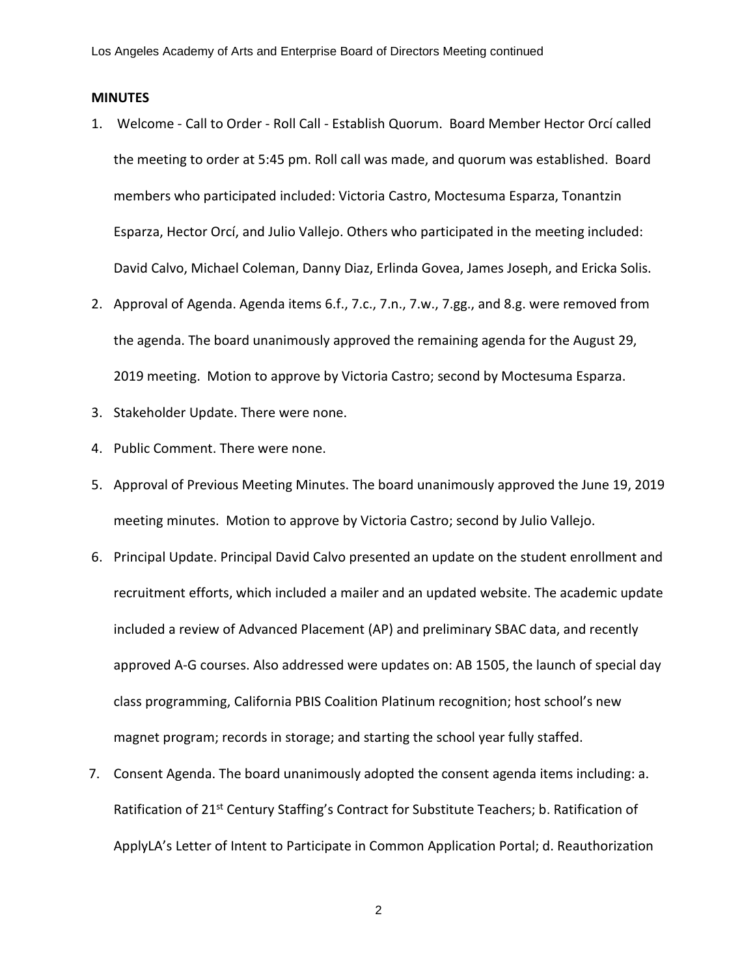## **MINUTES**

- 1. Welcome Call to Order Roll Call Establish Quorum. Board Member Hector Orcí called the meeting to order at 5:45 pm. Roll call was made, and quorum was established. Board members who participated included: Victoria Castro, Moctesuma Esparza, Tonantzin Esparza, Hector Orcí, and Julio Vallejo. Others who participated in the meeting included: David Calvo, Michael Coleman, Danny Diaz, Erlinda Govea, James Joseph, and Ericka Solis.
- 2. Approval of Agenda. Agenda items 6.f., 7.c., 7.n., 7.w., 7.gg., and 8.g. were removed from the agenda. The board unanimously approved the remaining agenda for the August 29, 2019 meeting. Motion to approve by Victoria Castro; second by Moctesuma Esparza.
- 3. Stakeholder Update. There were none.
- 4. Public Comment. There were none.
- 5. Approval of Previous Meeting Minutes. The board unanimously approved the June 19, 2019 meeting minutes. Motion to approve by Victoria Castro; second by Julio Vallejo.
- 6. Principal Update. Principal David Calvo presented an update on the student enrollment and recruitment efforts, which included a mailer and an updated website. The academic update included a review of Advanced Placement (AP) and preliminary SBAC data, and recently approved A-G courses. Also addressed were updates on: AB 1505, the launch of special day class programming, California PBIS Coalition Platinum recognition; host school's new magnet program; records in storage; and starting the school year fully staffed.
- 7. Consent Agenda. The board unanimously adopted the consent agenda items including: a. Ratification of 21<sup>st</sup> Century Staffing's Contract for Substitute Teachers; b. Ratification of ApplyLA's Letter of Intent to Participate in Common Application Portal; d. Reauthorization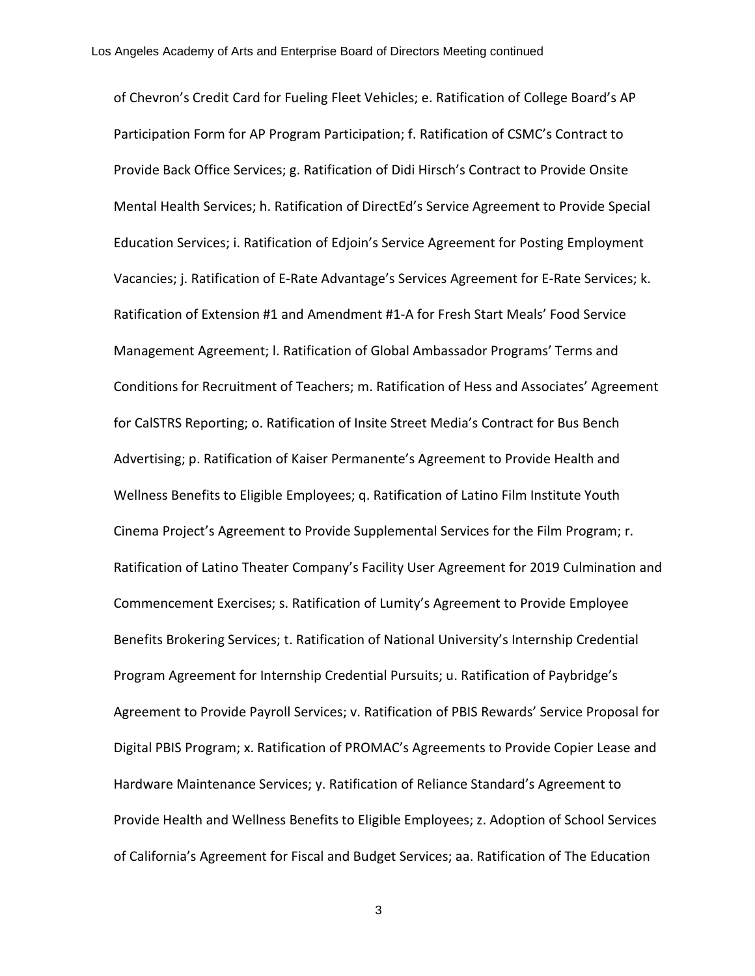of Chevron's Credit Card for Fueling Fleet Vehicles; e. Ratification of College Board's AP Participation Form for AP Program Participation; f. Ratification of CSMC's Contract to Provide Back Office Services; g. Ratification of Didi Hirsch's Contract to Provide Onsite Mental Health Services; h. Ratification of DirectEd's Service Agreement to Provide Special Education Services; i. Ratification of Edjoin's Service Agreement for Posting Employment Vacancies; j. Ratification of E-Rate Advantage's Services Agreement for E-Rate Services; k. Ratification of Extension #1 and Amendment #1-A for Fresh Start Meals' Food Service Management Agreement; l. Ratification of Global Ambassador Programs' Terms and Conditions for Recruitment of Teachers; m. Ratification of Hess and Associates' Agreement for CalSTRS Reporting; o. Ratification of Insite Street Media's Contract for Bus Bench Advertising; p. Ratification of Kaiser Permanente's Agreement to Provide Health and Wellness Benefits to Eligible Employees; q. Ratification of Latino Film Institute Youth Cinema Project's Agreement to Provide Supplemental Services for the Film Program; r. Ratification of Latino Theater Company's Facility User Agreement for 2019 Culmination and Commencement Exercises; s. Ratification of Lumity's Agreement to Provide Employee Benefits Brokering Services; t. Ratification of National University's Internship Credential Program Agreement for Internship Credential Pursuits; u. Ratification of Paybridge's Agreement to Provide Payroll Services; v. Ratification of PBIS Rewards' Service Proposal for Digital PBIS Program; x. Ratification of PROMAC's Agreements to Provide Copier Lease and Hardware Maintenance Services; y. Ratification of Reliance Standard's Agreement to Provide Health and Wellness Benefits to Eligible Employees; z. Adoption of School Services of California's Agreement for Fiscal and Budget Services; aa. Ratification of The Education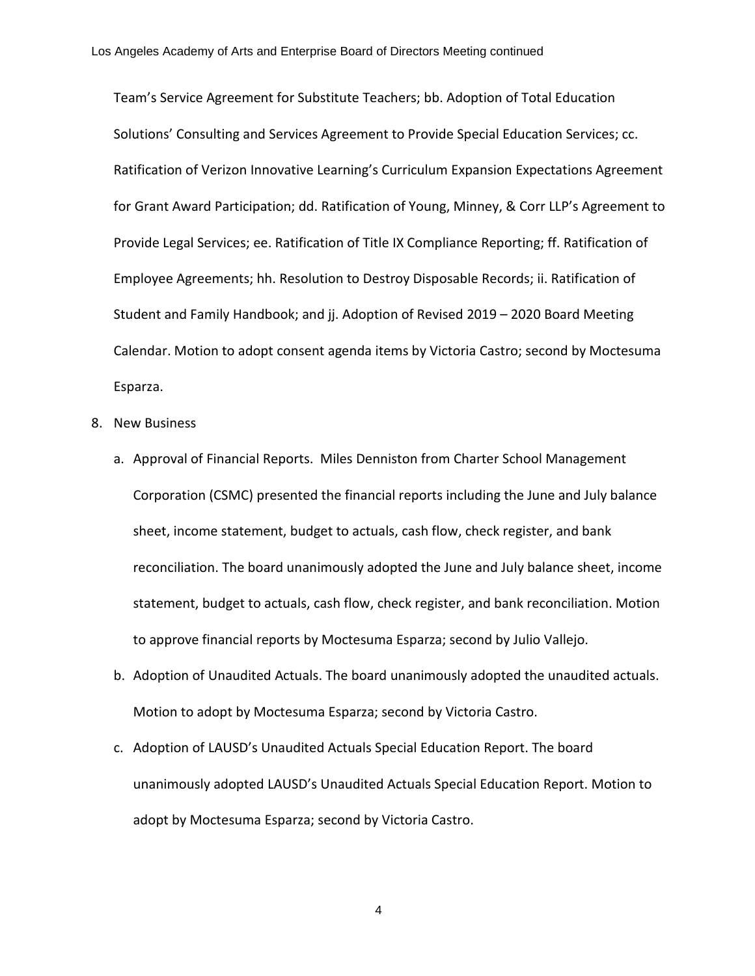Team's Service Agreement for Substitute Teachers; bb. Adoption of Total Education Solutions' Consulting and Services Agreement to Provide Special Education Services; cc. Ratification of Verizon Innovative Learning's Curriculum Expansion Expectations Agreement for Grant Award Participation; dd. Ratification of Young, Minney, & Corr LLP's Agreement to Provide Legal Services; ee. Ratification of Title IX Compliance Reporting; ff. Ratification of Employee Agreements; hh. Resolution to Destroy Disposable Records; ii. Ratification of Student and Family Handbook; and jj. Adoption of Revised 2019 – 2020 Board Meeting Calendar. Motion to adopt consent agenda items by Victoria Castro; second by Moctesuma Esparza.

- 8. New Business
	- a. Approval of Financial Reports. Miles Denniston from Charter School Management Corporation (CSMC) presented the financial reports including the June and July balance sheet, income statement, budget to actuals, cash flow, check register, and bank reconciliation. The board unanimously adopted the June and July balance sheet, income statement, budget to actuals, cash flow, check register, and bank reconciliation. Motion to approve financial reports by Moctesuma Esparza; second by Julio Vallejo.
	- b. Adoption of Unaudited Actuals. The board unanimously adopted the unaudited actuals. Motion to adopt by Moctesuma Esparza; second by Victoria Castro.
	- c. Adoption of LAUSD's Unaudited Actuals Special Education Report. The board unanimously adopted LAUSD's Unaudited Actuals Special Education Report. Motion to adopt by Moctesuma Esparza; second by Victoria Castro.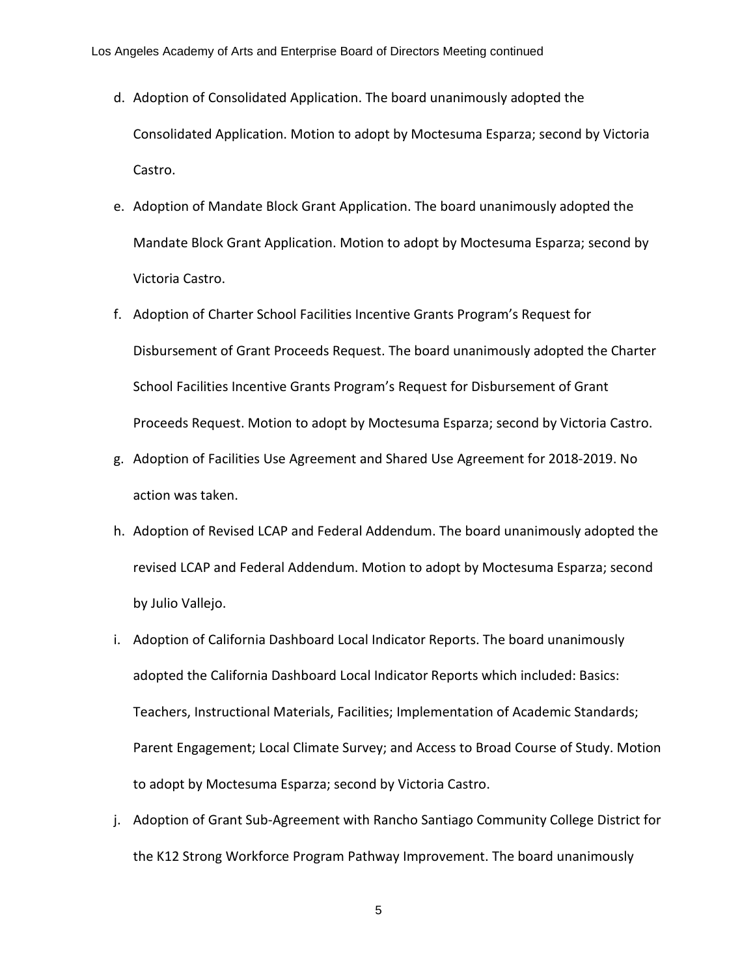- d. Adoption of Consolidated Application. The board unanimously adopted the Consolidated Application. Motion to adopt by Moctesuma Esparza; second by Victoria Castro.
- e. Adoption of Mandate Block Grant Application. The board unanimously adopted the Mandate Block Grant Application. Motion to adopt by Moctesuma Esparza; second by Victoria Castro.
- f. Adoption of Charter School Facilities Incentive Grants Program's Request for Disbursement of Grant Proceeds Request. The board unanimously adopted the Charter School Facilities Incentive Grants Program's Request for Disbursement of Grant Proceeds Request. Motion to adopt by Moctesuma Esparza; second by Victoria Castro.
- g. Adoption of Facilities Use Agreement and Shared Use Agreement for 2018-2019. No action was taken.
- h. Adoption of Revised LCAP and Federal Addendum. The board unanimously adopted the revised LCAP and Federal Addendum. Motion to adopt by Moctesuma Esparza; second by Julio Vallejo.
- i. Adoption of California Dashboard Local Indicator Reports. The board unanimously adopted the California Dashboard Local Indicator Reports which included: Basics: Teachers, Instructional Materials, Facilities; Implementation of Academic Standards; Parent Engagement; Local Climate Survey; and Access to Broad Course of Study. Motion to adopt by Moctesuma Esparza; second by Victoria Castro.
- j. Adoption of Grant Sub-Agreement with Rancho Santiago Community College District for the K12 Strong Workforce Program Pathway Improvement. The board unanimously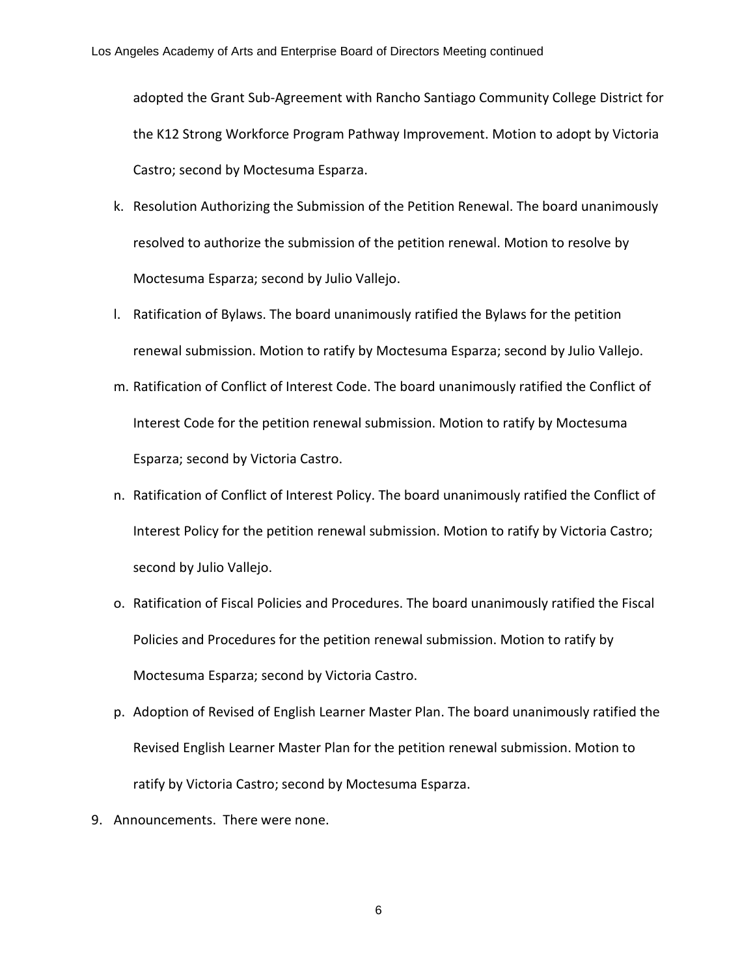adopted the Grant Sub-Agreement with Rancho Santiago Community College District for the K12 Strong Workforce Program Pathway Improvement. Motion to adopt by Victoria Castro; second by Moctesuma Esparza.

- k. Resolution Authorizing the Submission of the Petition Renewal. The board unanimously resolved to authorize the submission of the petition renewal. Motion to resolve by Moctesuma Esparza; second by Julio Vallejo.
- l. Ratification of Bylaws. The board unanimously ratified the Bylaws for the petition renewal submission. Motion to ratify by Moctesuma Esparza; second by Julio Vallejo.
- m. Ratification of Conflict of Interest Code. The board unanimously ratified the Conflict of Interest Code for the petition renewal submission. Motion to ratify by Moctesuma Esparza; second by Victoria Castro.
- n. Ratification of Conflict of Interest Policy. The board unanimously ratified the Conflict of Interest Policy for the petition renewal submission. Motion to ratify by Victoria Castro; second by Julio Vallejo.
- o. Ratification of Fiscal Policies and Procedures. The board unanimously ratified the Fiscal Policies and Procedures for the petition renewal submission. Motion to ratify by Moctesuma Esparza; second by Victoria Castro.
- p. Adoption of Revised of English Learner Master Plan. The board unanimously ratified the Revised English Learner Master Plan for the petition renewal submission. Motion to ratify by Victoria Castro; second by Moctesuma Esparza.
- 9. Announcements. There were none.